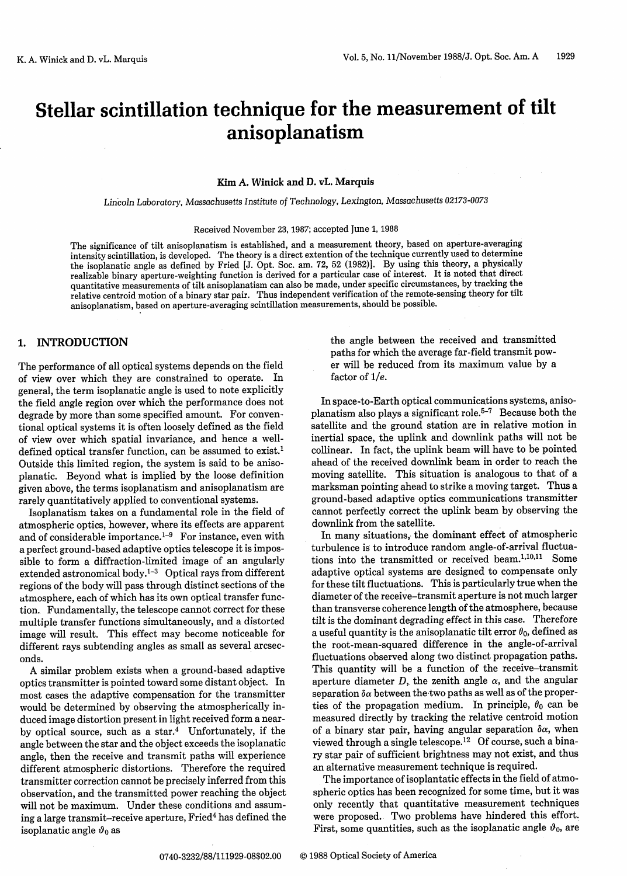# Stellar scintillation technique for the measurement of tilt anisoplanatism

#### **Kim A. Winick and D. vL. Marquis**

Lincoln Laboratory, Massachusetts Institute of Technology, Lexington, Massachusetts *02173-0073*

# Received November 23, 1987; accepted June 1, 1988

The significance of tilt anisoplanatism is established, and a measurement theory, based on aperture-averaging intensity scintillation, is developed. The theory is a direct extention of the technique currently used to determine the isoplanatic angle as defined by Fried [J. Opt. Soc. am. 72, 52 (1982)]. By using this theory, a physically realizable binary aperture-weighting function is derived for a particular case of interest. It is noted that direct quantitative measurements of tilt anisoplanatism can also be made, under specific circumstances, by tracking the relative centroid motion of a binary star pair. Thus independent verification of the remote-sensing theory for tilt anisoplanatism, based on aperture-averaging scintillation measurements, should be possible.

#### 1. **INTRODUCTION**

The performance of all optical systems depends on the field of view over which they are constrained to operate. In general, the term isoplanatic angle is used to note explicitly the field angle region over which the performance does not degrade by more than some specified amount. For conventional optical systems it is often loosely defined as the field of view over which spatial invariance, and hence a welldefined optical transfer function, can be assumed to exist.<sup>1</sup> Outside this limited region, the system is said to be anisoplanatic. Beyond what is implied by the loose definition given above, the terms isoplanatism and anisoplanatism are rarely quantitatively applied to conventional systems.

Isoplanatism takes on a fundamental role in the field of atmospheric optics, however, where its effects are apparent and of considerable importance.<sup>1-9</sup> For instance, even with a perfect ground-based adaptive optics telescope it is impossible to form a diffraction-limited image of an angularly extended astronomical body.1-3 Optical rays from different regions of the body will pass through distinct sections of the atmosphere, each of which has its own optical transfer function. Fundamentally, the telescope cannot correct for these multiple transfer functions simultaneously, and a distorted image will result. This effect may become noticeable for different rays subtending angles as small as several arcseconds.

A similar problem exists when a ground-based adaptive optics transmitter is pointed toward some distant object. In most cases the adaptive compensation for the transmitter would be determined by observing the atmospherically induced image distortion present in light received form a nearby optical source, such as a star. $4$  Unfortunately, if the angle between the star and the object exceeds the isoplanatic angle, then the receive and transmit paths will experience different atmospheric distortions. Therefore the required transmitter correction cannot be precisely inferred from this observation, and the transmitted power reaching the object will not be maximum. Under these conditions and assuming a large transmit-receive aperture, Fried<sup>4</sup> has defined the isoplanatic angle  $\vartheta_0$  as

the angle between the received and transmitted paths for which the average far-field transmit power will be reduced from its maximum value by a factor of  $1/e$ .

In space-to-Earth optical communications systems, anisoplanatism also plays a significant role.5- <sup>7</sup> Because both the satellite and the ground station are in relative motion in inertial space, the uplink and downlink paths will not be collinear. In fact, the uplink beam will have to be pointed ahead of the received downlink beam in order to reach the moving satellite. This situation is analogous to that of a marksman pointing ahead to strike a moving target. Thus a ground-based adaptive optics communications transmitter cannot perfectly correct the uplink beam by observing the downlink from the satellite.

In many situations, the dominant effect of atmospheric turbulence is to introduce random angle-of-arrival fluctuations into the transmitted or received beam.<sup>1,10,11</sup> Some adaptive optical systems are designed to compensate only for these tilt fluctuations. This is particularly true when the diameter of the receive-transmit aperture is not much larger than transverse coherence length of the atmosphere, because tilt is the dominant degrading effect in this case. Therefore a useful quantity is the anisoplanatic tilt error  $\theta_0$ , defined as the root-mean-squared difference in the angle-of-arrival fluctuations observed along two distinct propagation paths. This quantity will be a function of the receive-transmit aperture diameter D, the zenith angle  $\alpha$ , and the angular separation  $\delta \alpha$  between the two paths as well as of the properties of the propagation medium. In principle,  $\theta_0$  can be measured directly by tracking the relative centroid motion of a binary star pair, having angular separation  $\delta \alpha$ , when viewed through a single telescope.<sup>12</sup> Of course, such a binary star pair of sufficient brightness may not exist, and thus an alternative measurement technique is required.

The importance of isoplantatic effects in the field of atmospheric optics has been recognized for some time, but it was only recently that quantitative measurement techniques were proposed. Two problems have hindered this effort. First, some quantities, such as the isoplanatic angle  $\vartheta_0$ , are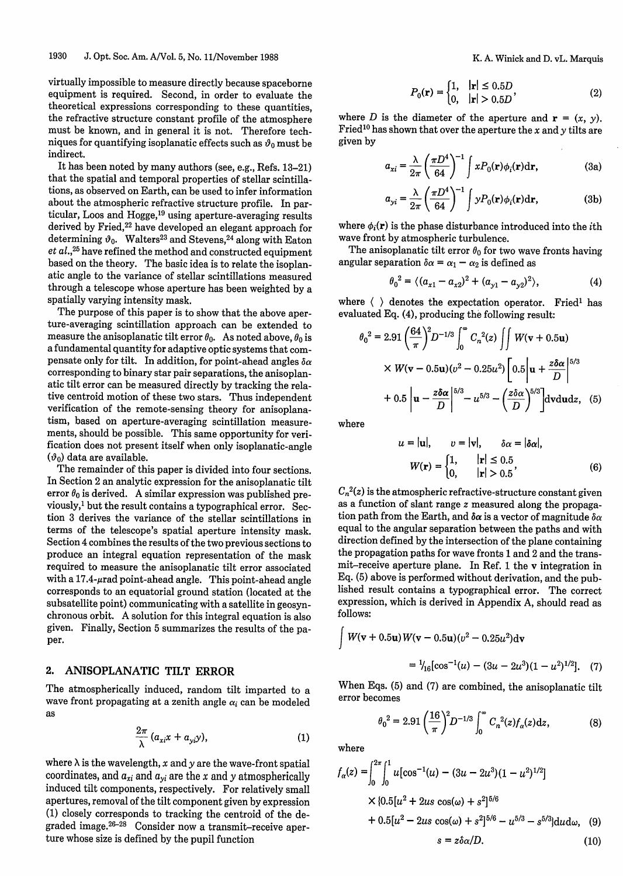virtually impossible to measure directly because spaceborne equipment is required. Second, in order to evaluate the theoretical expressions corresponding to these quantities, the refractive structure constant profile of the atmosphere must be known, and in general it is not. Therefore techniques for quantifying isoplanatic effects such as  $\vartheta_0$  must be indirect.

It has been noted by many authors (see, e.g., Refs. 13-21) that the spatial and temporal properties of stellar scintillations, as observed on Earth, can be used to infer information about the atmospheric refractive structure profile. In particular, Loos and Hogge,'9 using aperture-averaging results derived by Fried,<sup>22</sup> have developed an elegant approach for determining  $\vartheta_0$ . Walters<sup>23</sup> and Stevens,<sup>24</sup> along with Eaton et *al.*,<sup>25</sup> have refined the method and constructed equipment based on the theory. The basic idea is to relate the isoplanatic angle to the variance of stellar scintillations measured through a telescope whose aperture has been weighted by a spatially varying intensity mask.

The purpose of this paper is to show that the above aperture-averaging scintillation approach can be extended to measure the anisoplanatic tilt error  $\theta_0$ . As noted above,  $\theta_0$  is a fundamental quantity for adaptive optic systems that compensate only for tilt. In addition, for point-ahead angles  $\delta \alpha$ corresponding to binary star pair separations, the anisoplanatic tilt error can be measured directly by tracking the relative centroid motion of these two stars. Thus independent verification of the remote-sensing theory for anisoplanatism, based on aperture-averaging scintillation measurements, should be possible. This same opportunity for verification does not present itself when only isoplanatic-angle  $(\vartheta_0)$  data are available

The remainder of this paper is divided into four sections. In Section 2 an analytic expression for the anisoplanatic tilt error  $\theta_0$  is derived. A similar expression was published previously,' but the result contains a typographical error. Section 3 derives the variance of the stellar scintillations in terms of the telescope's spatial aperture intensity mask. Section 4 combines the results of the two previous sections to produce an integral equation representation of the mask required to measure the anisoplanatic tilt error associated with a  $17.4$ - $\mu$ rad point-ahead angle. This point-ahead angle corresponds to an equatorial ground station (located at the subsatellite point) communicating with a satellite in geosynchronous orbit. A solution for this integral equation is also given. Finally, Section 5 summarizes the results of the paper.

## 2. ANISOPLANATIC TILT ERROR

The atmospherically induced, random tilt imparted to a wave front propagating at a zenith angle  $\alpha_i$  can be modeled as

$$
\frac{2\pi}{\lambda} (a_{xi} x + a_{yi} y), \qquad (1)
$$

where  $\lambda$  is the wavelength, x and y are the wave-front spatial coordinates, and  $a_{xi}$  and  $a_{yi}$  are the x and y atmospherically induced tilt components, respectively. For relatively small apertures, removal of the tilt component given by expression (1) closely corresponds to tracking the centroid of the degraded image.<sup>26-28</sup> Consider now a transmit-receive aperture whose size is defined by the pupil function

$$
P_0(\mathbf{r}) = \begin{cases} 1, & |\mathbf{r}| \le 0.5D \\ 0, & |\mathbf{r}| > 0.5D \end{cases}
$$
 (2)

where D is the diameter of the aperture and  $\mathbf{r} = (x, y)$ . Fried<sup>10</sup> has shown that over the aperture the x and y tilts are given by

$$
a_{xi} = \frac{\lambda}{2\pi} \left(\frac{\pi D^4}{64}\right)^{-1} \int x P_0(\mathbf{r}) \phi_i(\mathbf{r}) d\mathbf{r}, \tag{3a}
$$

$$
a_{yi} = \frac{\lambda}{2\pi} \left(\frac{\pi D^4}{64}\right)^{-1} \int y P_0(\mathbf{r}) \phi_i(\mathbf{r}) d\mathbf{r},\tag{3b}
$$

where  $\phi_i(\mathbf{r})$  is the phase disturbance introduced into the *i*th wave front by atmospheric turbulence.

The anisoplanatic tilt error  $\theta_0$  for two wave fronts having angular separation  $\delta \alpha = \alpha_1 - \alpha_2$  is defined as

$$
\theta_0^2 = \langle (a_{x1} - a_{x2})^2 + (a_{y1} - a_{y2})^2 \rangle, \tag{4}
$$

where  $\langle \rangle$  denotes the expectation operator. Fried<sup>1</sup> has evaluated Eq. (4), producing the following result:

$$
\theta_0^2 = 2.91 \left(\frac{64}{\pi}\right)^2 D^{-1/3} \int_0^{\infty} C_n^2(z) \iint W(\mathbf{v} + 0.5 \mathbf{u})
$$
  
×  $W(\mathbf{v} - 0.5 \mathbf{u}) (v^2 - 0.25 u^2) \left[ 0.5 \left| \mathbf{u} + \frac{z \delta \alpha}{D} \right|^{5/3} + 0.5 \left| \mathbf{u} - \frac{z \delta \alpha}{D} \right|^{5/3} - u^{5/3} - \left( \frac{z \delta \alpha}{D} \right)^{5/3} \right] d\mathbf{v} d\mathbf{u} dz, \quad (5)$ 

where

$$
u = |\mathbf{u}|, \qquad v = |\mathbf{v}|, \qquad \delta \alpha = |\delta \alpha|,
$$
  

$$
W(\mathbf{r}) = \begin{cases} 1, & |\mathbf{r}| \le 0.5 \\ 0, & |\mathbf{r}| > 0.5 \end{cases}
$$
 (6)

 $C_n^2(z)$  is the atmospheric refractive-structure constant given as a function of slant range z measured along the propagation path from the Earth, and  $\delta \alpha$  is a vector of magnitude  $\delta \alpha$ equal to the angular separation between the paths and with direction defined by the intersection of the plane containing the propagation paths for wave fronts 1 and 2 and the transmit-receive aperture plane. In Ref. 1 the v integration in Eq. (5) above is performed without derivation, and the published result contains a typographical error. The correct expression, which is derived in Appendix A, should read as follows:

$$
\int W(\mathbf{v} + 0.5\mathbf{u}) W(\mathbf{v} - 0.5\mathbf{u}) (v^2 - 0.25u^2) d\mathbf{v}
$$
  
=  $\frac{1}{16} [\cos^{-1}(u) - (3u - 2u^3)(1 - u^2)^{1/2}].$  (7)

When Eqs. (5) and (7) are combined, the anisoplanatic tilt error becomes

$$
\theta_0^2 = 2.91 \left(\frac{16}{\pi}\right)^2 D^{-1/3} \int_0^\infty C_n^2(z) f_\alpha(z) \mathrm{d} z,\tag{8}
$$

where

$$
f_{\alpha}(z) = \int_0^{2\pi} \int_0^1 u[\cos^{-1}(u) - (3u - 2u^3)(1 - u^2)^{1/2}]
$$
  
× {0.5[u<sup>2</sup> + 2us cos(\omega) + s<sup>2</sup>]<sup>5/6</sup>  
+ 0.5[u<sup>2</sup> - 2us cos(\omega) + s<sup>2</sup>]<sup>5/6</sup> - u<sup>5/3</sup> - s<sup>5/3</sup>}dud\omega, (9)  
s = z\delta\alpha/D. (10)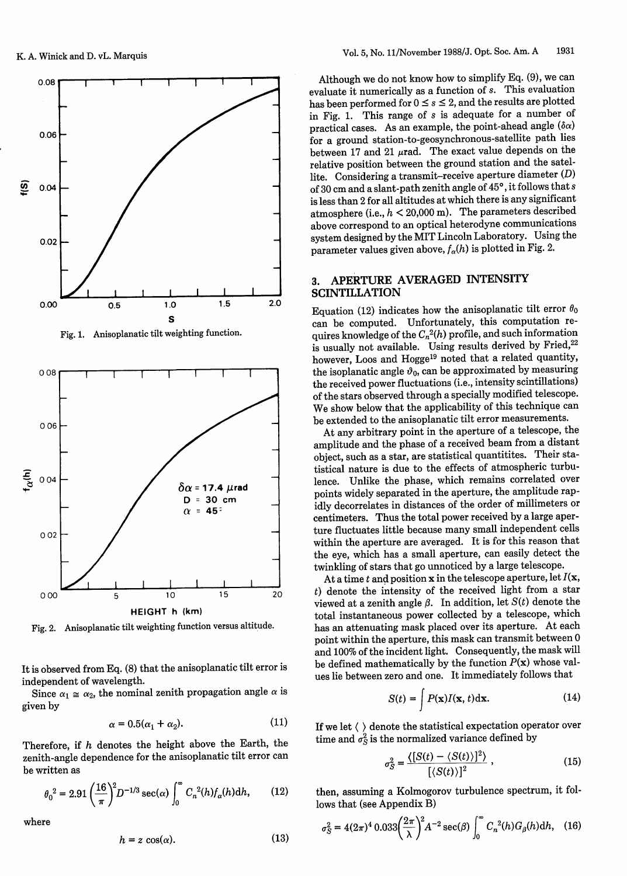

Fig. 1. Anisoplanatic tilt weighting function.



Fig. 2. Anisoplanatic tilt weighting function versus altitude.

It is observed from Eq. (8) that the anisoplanatic tilt error is independent of wavelength.

Since  $\alpha_1 \cong \alpha_2$ , the nominal zenith propagation angle  $\alpha$  is given by

$$
\alpha = 0.5(\alpha_1 + \alpha_2). \tag{11}
$$

Therefore, if h denotes the height above the Earth, the zenith-angle dependence for the anisoplanatic tilt error can be written as

$$
\theta_0^2 = 2.91 \left(\frac{16}{\pi}\right)^2 D^{-1/3} \sec(\alpha) \int_0^\infty C_n^2(h) f_\alpha(h) dh, \qquad (12)
$$

where

$$
h = z \cos(\alpha). \tag{13}
$$

Although we do not know how to simplify Eq. (9), we can evaluate it numerically as a function of *s.* This evaluation has been performed for  $0 \leq s \leq 2$ , and the results are plotted in Fig. 1. This range of *s* is adequate for a number of practical cases. As an example, the point-ahead angle  $(\delta \alpha)$ for a ground station-to-geosynchronous-satellite path lies between 17 and 21  $\mu$ rad. The exact value depends on the relative position between the ground station and the satellite. Considering a transmit-receive aperture diameter (D) of 30 cm and a slant-path zenith angle of 45°, it follows that s is less than 2 for all altitudes at which there is any significant atmosphere (i.e.,  $h < 20{,}000$  m). The parameters described above correspond to an optical heterodyne communications system designed by the MIT Lincoln Laboratory. Using the parameter values given above,  $f_{\alpha}(h)$  is plotted in Fig. 2.

# 3. APERTURE AVERAGED INTENSITY **SCINTILLATION**

Equation (12) indicates how the anisoplanatic tilt error  $\theta_0$ can be computed. Unfortunately, this computation requires knowledge of the  $C_n^2(h)$  profile, and such information is usually not available. Using results derived by Fried,<sup>22</sup> however, Loos and Hogge<sup>19</sup> noted that a related quantity, the isoplanatic angle  $\vartheta_0$ , can be approximated by measuring the received power fluctuations (i.e., intensity scintillations) of the stars observed through a specially modified telescope. We show below that the applicability of this technique can be extended to the anisoplanatic tilt error measurements.

At any arbitrary point in the aperture of a telescope, the amplitude and the phase of a received beam from a distant object, such as a star, are statistical quantitites. Their statistical nature is due to the effects of atmospheric turbulence. Unlike the phase, which remains correlated over points widely separated in the aperture, the amplitude rapidly decorrelates in distances of the order of millimeters or centimeters. Thus the total power received by a large aperture fluctuates little because many small independent cells within the aperture are averaged. It is for this reason that the eye, which has a small aperture, can easily detect the twinkling of stars that go unnoticed by a large telescope.

At a time t and position x in the telescope aperture, let  $I(x,$  $t$ ) denote the intensity of the received light from a star viewed at a zenith angle  $\beta$ . In addition, let  $S(t)$  denote the total instantaneous power collected by a telescope, which has an attenuating mask placed over its aperture. At each point within the aperture, this mask can transmit between 0 and 100% of the incident light. Consequently, the mask will be defined mathematically by the function  $P(x)$  whose values lie between zero and one. It immediately follows that

$$
S(t) = \int P(\mathbf{x}) I(\mathbf{x}, t) \, \mathrm{d}\mathbf{x}.\tag{14}
$$

If we let  $\langle \ \rangle$  denote the statistical expectation operator over time and  $\sigma_S^2$  is the normalized variance defined by

$$
\sigma_S^2 = \frac{\langle [S(t) - \langle S(t) \rangle]^2 \rangle}{\left[ \langle S(t) \rangle \right]^2},\tag{15}
$$

then, assuming a Kolmogorov turbulence spectrum, it follows that (see Appendix B)

$$
\sigma_S^2 = 4(2\pi)^4 \, 0.033 \left(\frac{2\pi}{\lambda}\right)^2 A^{-2} \sec(\beta) \int_0^\infty C_n^{\ 2}(h) G_\beta(h) \mathrm{d}h,\tag{16}
$$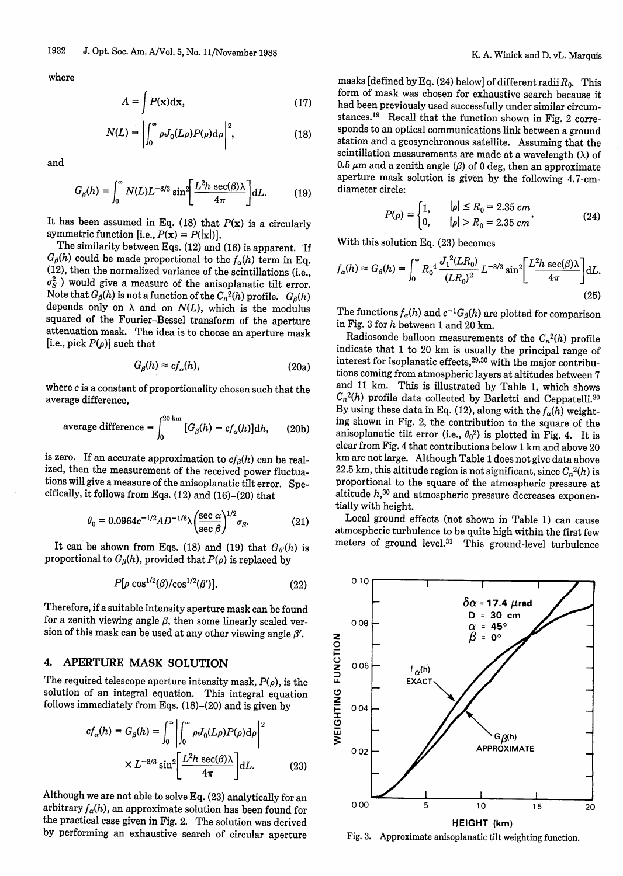where

$$
A = \int P(\mathbf{x}) \mathrm{d}\mathbf{x},\tag{17}
$$

$$
N(L) = \left| \int_0^\infty \rho J_0(L\rho) P(\rho) d\rho \right|^2, \tag{18}
$$

and

$$
G_{\beta}(h) = \int_0^\infty N(L)L^{-8/3}\sin^2\left[\frac{L^2h\sec(\beta)\lambda}{4\pi}\right]dL.
$$
 (19)

It has been assumed in Eq. (18) that  $P(x)$  is a circularly symmetric function [i.e.,  $P(\mathbf{x}) = P(|\mathbf{x}|)$ ].

The similarity between Eqs. (12) and (16) is apparent. If  $G_{\beta}(h)$  could be made proportional to the  $f_{\alpha}(h)$  term in Eq. (12), then the normalized variance of the scintillations (i.e.,  $\sigma_S^2$ ) would give a measure of the anisoplanatic tilt error. Note that  $G_\beta(h)$  is not a function of the  $C_n^2(h)$  profile.  $G_\beta(h)$ depends only on  $\lambda$  and on  $N(L)$ , which is the modulus squared of the Fourier-Bessel transform of the aperture attenuation mask. The idea is to choose an aperture mask [i.e., pick  $P(\rho)$ ] such that

$$
G_{\beta}(h) \approx cf_{\alpha}(h), \tag{20a}
$$

where  $c$  is a constant of proportionality chosen such that the average difference,

average difference = 
$$
\int_0^{20 \text{ km}} [G_\beta(h) - c f_\alpha(h)] \, dh, \qquad (20b)
$$

is zero. If an accurate approximation to  $cf_0(h)$  can be realized, then the measurement of the received power fluctuations will give a measure of the anisoplanatic tilt error. Spe- cifically, it follows from Eqs. (12) and (16)-(20) that

$$
\theta_0 = 0.0964c^{-1/2}AD^{-1/6}\lambda \left(\frac{\sec \alpha}{\sec \beta}\right)^{1/2} \sigma_S.
$$
 (21)

It can be shown from Eqs. (18) and (19) that  $G_{\beta}(h)$  is proportional to  $G_{\beta}(h)$ , provided that  $P(\rho)$  is replaced by

$$
P[\rho \cos^{1/2}(\beta)/\cos^{1/2}(\beta')]. \tag{22}
$$

Therefore, if a suitable intensity aperture mask can be found<br>for a zenith viewing angle  $\beta$ , then some linearly scaled version of this mask can be used at any other viewing angle  $\beta'$ .

#### 4. APERTURE MASK SOLUTION

The required telescope aperture intensity mask,  $P(\rho)$ , is the solution of an integral equation. This integral equation follows immediately from Eqs. (18)-(20) and is given by

$$
cf_{\alpha}(h) = G_{\beta}(h) = \int_0^{\infty} \left| \int_0^{\infty} \rho J_0(L\rho) P(\rho) d\rho \right|^2
$$

$$
\times L^{-8/3} \sin^2 \left[ \frac{L^2 h \sec(\beta) \lambda}{4\pi} \right] dL. \tag{23}
$$

Although we are not able to solve Eq. (23) analytically for an arbitrary  $f_{\alpha}(h)$ , an approximate solution has been found for the practical case given in Fig. 2. The solution was derived by performing an exhaustive search of circular aperture

masks [defined by Eq. (24) below] of different radii *Ro.* This form of mask was chosen for exhaustive search because it had been previously used successfully under similar circumstances.<sup>19</sup> Recall that the function shown in Fig. 2 corre-sponds to an optical communications link between a ground station and a geosynchronous satellite. Assuming that the scintillation measurements are made at a wavelength  $(\lambda)$  of 0.5  $\mu$ m and a zenith angle ( $\beta$ ) of 0 deg, then an approximate aperture mask solution is given by the following 4.7-cm diameter circle:

$$
P(\rho) = \begin{cases} 1, & |\rho| \le R_0 = 2.35 \text{ cm} \\ 0, & |\rho| > R_0 = 2.35 \text{ cm} \end{cases}
$$
 (24)

With this solution Eq. (23) becomes

$$
f_{\alpha}(h) \approx G_{\beta}(h) = \int_0^{\infty} R_0^4 \frac{J_1^2(LR_0)}{(LR_0)^2} L^{-8/3} \sin^2 \left[ \frac{L^2 h \sec(\beta) \lambda}{4\pi} \right] dL.
$$
\n(25)

The functions  $f_{\alpha}(h)$  and  $c^{-1}G_{\beta}(h)$  are plotted for comparison in Fig. 3 for *h* between 1 and 20 km.<br>Radiosonde balloon measurements of the  $C_n^2(h)$  profile

indicate that 1 to 20 km is usually the principal range of interest for isoplanatic effects, 29,30 with the major contributions coming from atmospheric layers at altitudes between 7 and 11 km. This is illustrated by Table 1, which shows  $C_n^2(h)$  profile data collected by Barletti and Ceppatelli.<sup>30</sup> By using these data in Eq. (12), along with the  $f_{\alpha}(h)$  weighting shown in Fig. 2, the contribution to the square of the anisoplanatic tilt error (i.e.,  $\theta_0^2$ ) is plotted in Fig. 4. It is clear from Fig. 4 that contributions below 1 km and above 20 km are not large. Although Table 1 does not give data above 22.5 km, this altitude region is not significant, since  $C_n^2(h)$  is proportional to the square of the atmospheric pressure at altitude  $h$ ,<sup>30</sup> and atmospheric pressure decreases exponentially with height.

Local ground effects (not shown in Table 1) can cause atmospheric turbulence to be quite high within the first few meters of ground level.<sup>31</sup> This ground-level turbulence



Fig. 3. Approximate anisoplanatic tilt weighting function.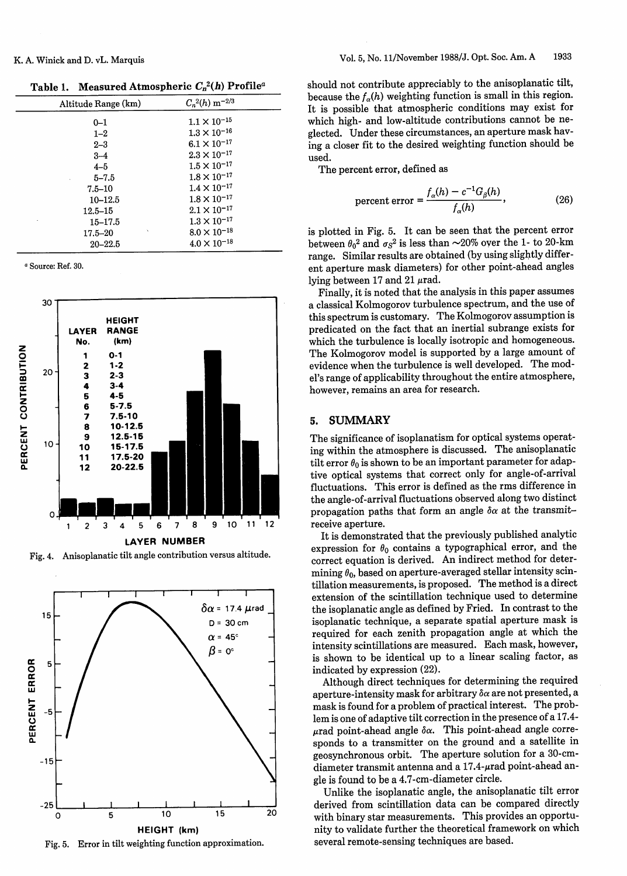## K. A. Winick and D. vL. Marquis

**Table 1.** Measured Atmospheric  $C_n^2(h)$  Profile<sup>a</sup>

| Altitude Range (km) | $C_n^2(h)$ m <sup>-2/3</sup> |
|---------------------|------------------------------|
| $0 - 1$             | $1.1 \times 10^{-15}$        |
| $1 - 2$             | $1.3\times10^{-16}$          |
| $2 - 3$             | $6.1 \times 10^{-17}$        |
| $3 - 4$             | $2.3\times10^{-17}$          |
| $4 - 5$             | $1.5 \times 10^{-17}$        |
| $5 - 7.5$           | $1.8\times10^{-17}$          |
| $7.5 - 10$          | $1.4 \times 10^{-17}$        |
| $10 - 12.5$         | $1.8 \times 10^{-17}$        |
| $12.5 - 15$         | $2.1\times10^{-17}$          |
| $15 - 17.5$         | $1.3 \times 10^{-17}$        |
| Ň<br>$17.5 - 20$    | $8.0\times10^{-18}$          |
| $20 - 22.5$         | $4.0 \times 10^{-18}$        |
|                     |                              |

a Source: Ref. 30.



Fig. 4. Anisoplanatic tilt angle contribution versus altitud



Fig. 5. Error in tilt weighting function approximation.

should not contribute appreciably to the anisoplanatic tilt, because the  $f_{\alpha}(h)$  weighting function is small in this region. It is possible that atmospheric conditions may exist for which high- and low-altitude contributions cannot be neglected. Under these circumstances, an aperture mask having a closer fit to the desired weighting function should be used.

The percent error, defined as

percent error = 
$$
\frac{f_{\alpha}(h) - c^{-1}G_{\beta}(h)}{f_{\alpha}(h)},
$$
 (26)

is plotted in Fig. 5. It can be seen that the percent error between  $\theta_0^2$  and  $\sigma_S^2$  is less than  $\sim$ 20% over the 1- to 20-km range. Similar results are obtained (by using slightly different aperture mask diameters) for other point-ahead angles lying between 17 and 21  $\mu$ rad.

Finally, it is noted that the analysis in this paper assumes a classical Kolmogorov turbulence spectrum, and the use of this spectrum is customary. The Kolmogorov assumption is predicated on the fact that an inertial subrange exists for which the turbulence is locally isotropic and homogeneous. The Kolmogorov model is supported by a large amount of evidence when the turbulence is well developed. The model's range of applicability throughout the entire atmosphere, however, remains an area for research.

### 5. SUMMARY

The significance of isoplanatism for optical systems operating within the atmosphere is discussed. The anisoplanatic tilt error  $\theta_0$  is shown to be an important parameter for adaptive optical systems that correct only for angle-of-arrival fluctuations. This error is defined as the rms difference in the angle-of-arrival fluctuations observed along two distinct propagation paths that form an angle  $\delta \alpha$  at the transmit-**12** receive aperture.

It is demonstrated that the previously published analytic expression for  $\theta_0$  contains a typographical error, and the correct equation is derived. An indirect method for determining  $\theta_0$ , based on aperture-averaged stellar intensity scintillation measurements, is proposed. The method is a direct extension of the scintillation technique used to determine the isoplanatic angle as defined by Fried. In contrast to the isoplanatic technique, a separate spatial aperture mask is required for each zenith propagation angle at which the intensity scintillations are measured. Each mask, however, is shown to be identical up to a linear scaling factor, as indicated by expression (22).

Although direct techniques for determining the required aperture-intensity mask for arbitrary  $\delta \alpha$  are not presented, a mask is found for a problem of practical interest. The problem is one of adaptive tilt correction in the presence of a 17.4 urad point-ahead angle  $\delta \alpha$ . This point-ahead angle corresponds to a transmitter on the ground and a satellite in geosynchronous orbit. The aperture solution for a 30-cmdiameter transmit antenna and a  $17.4$ - $\mu$ rad point-ahead angle is found to be a 4.7-cm-diameter circle.

Unlike the isoplanatic angle, the anisoplanatic tilt error  $\frac{1}{20}$  derived from scintillation data can be compared directly with binary star measurements. This provides an opportunity to validate further the theoretical framework on which several remote-sensing techniques are based.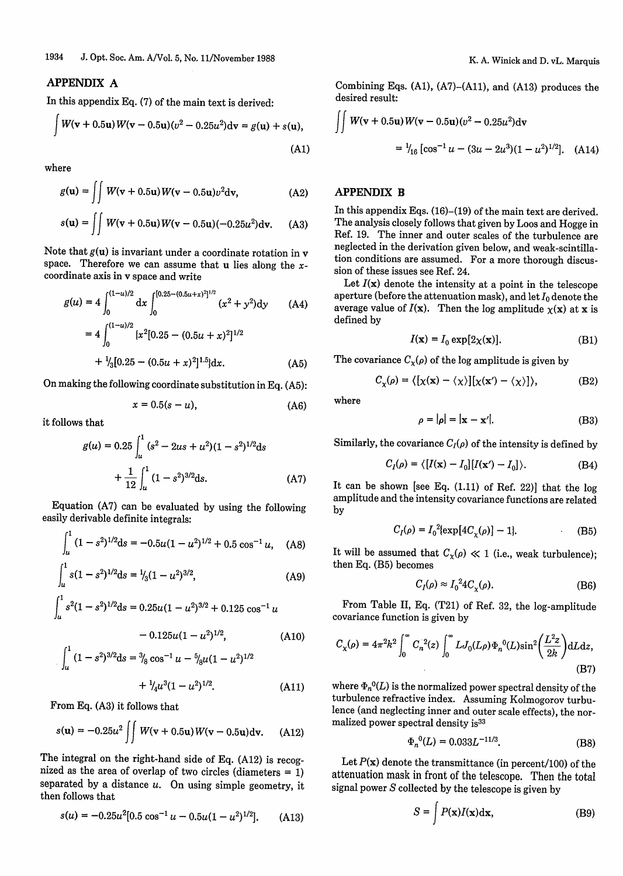## APPENDIX A

In this appendix Eq. (7) of the main text is derived:  
\n
$$
\int W(\mathbf{v} + 0.5\mathbf{u}) W(\mathbf{v} - 0.5\mathbf{u}) (v^2 - 0.25u^2) d\mathbf{v} = g(\mathbf{u}) + s(\mathbf{u}),
$$
\n(A1)

where

$$
g(\mathbf{u}) = \iint W(\mathbf{v} + 0.5\mathbf{u}) W(\mathbf{v} - 0.5\mathbf{u}) v^2 d\mathbf{v},
$$
 (A2)

$$
s(\mathbf{u}) = \iint W(\mathbf{v} + 0.5\mathbf{u}) W(\mathbf{v} - 0.5\mathbf{u}) (-0.25u^2) \mathrm{d}\mathbf{v}.
$$
 (A3)

Note that  $g(u)$  is invariant under a coordinate rotation in v space. Therefore we can assume that  $u$  lies along the  $x$ coordinate axis in v space and write

$$
g(u) = 4 \int_0^{(1-u)/2} dx \int_0^{[0.25 - (0.5u + x)^2]^{1/2}} (x^2 + y^2) dy \qquad (A4)
$$

$$
=4\int_0^{(1-u)/2} \{x^2[0.25 - (0.5u + x)^2]^{1/2} + \frac{1}{3}[0.25 - (0.5u + x)^2]^{1.5}\}dx.
$$
 (A5)

On making the following coordinate substitution in Eq. (A5):

$$
x = 0.5(s - u), \tag{A6}
$$

it follows that

$$
g(u) = 0.25 \int_{u}^{1} (s^2 - 2us + u^2)(1 - s^2)^{1/2} ds
$$

$$
+ \frac{1}{12} \int_{u}^{1} (1 - s^2)^{3/2} ds.
$$
 (A7)

Equation (A7) can be evaluated by using the following easily derivable definite integrals:

$$
\int_{u}^{1} (1 - s^2)^{1/2} ds = -0.5u(1 - u^2)^{1/2} + 0.5 \cos^{-1} u,
$$
 (A8)

$$
\int_{u}^{1} s(1-s^2)^{1/2} ds = \frac{1}{3}(1-u^2)^{3/2},
$$
 (A9)

$$
\int_{u}^{1} s^{2} (1 - s^{2})^{1/2} ds = 0.25u(1 - u^{2})^{3/2} + 0.125 \cos^{-1} u
$$

$$
- 0.125u(1 - u^2)^{1/2}, \tag{A10}
$$

$$
\int_{u}^{1} (1 - s^{2})^{3/2} ds = \frac{3}{8} \cos^{-1} u - \frac{5}{8} u (1 - u^{2})^{1/2}
$$

$$
+ \frac{1}{4} u^{3} (1 - u^{2})^{1/2}.
$$
 (A11)

From Eq. (A3) it follows that

$$
s(\mathbf{u}) = -0.25u^2 \iint W(\mathbf{v} + 0.5\mathbf{u}) W(\mathbf{v} - 0.5\mathbf{u}) d\mathbf{v}.
$$
 (A12)

The integral on the right-hand side of Eq. (A12) is recognized as the area of overlap of two circles (diameters  $= 1$ ) separated by a distance  $u$ . On using simple geometry, it then follows that

$$
s(u) = -0.25u^2[0.5\cos^{-1}u - 0.5u(1-u^2)^{1/2}].
$$
 (A13)

Combining Eqs. (Al), (A7)-(A1l), and (A13) produces the desired result:

$$
\iint W(\mathbf{v} + 0.5\mathbf{u}) W(\mathbf{v} - 0.5\mathbf{u}) (v^2 - 0.25u^2) d\mathbf{v}
$$
  
=  $V_{16} [\cos^{-1} u - (3u - 2u^3)(1 - u^2)^{1/2}].$  (A14)

# APPENDIX B

In this appendix Eqs. (16)-(19) of the main text are derived. The analysis closely follows that given by Loos and Hogge in Ref. 19. The inner and outer scales of the turbulence are neglected in the derivation given below, and weak-scintillation conditions are assumed. For a more thorough discussion of these issues see Ref. 24.

Let  $I(x)$  denote the intensity at a point in the telescope aperture (before the attenuation mask), and let  $I_0$  denote the average value of  $I(x)$ . Then the log amplitude  $\chi(x)$  at x is defined by

$$
I(\mathbf{x}) = I_0 \exp[2\chi(\mathbf{x})]. \tag{B1}
$$

The covariance  $C_{\chi}(\rho)$  of the log amplitude is given by

$$
C_{\chi}(\rho) = \langle [\chi(\mathbf{x}) - \langle \chi \rangle][\chi(\mathbf{x}') - \langle \chi \rangle] \rangle, \tag{B2}
$$

where

$$
\rho = |\rho| = |\mathbf{x} - \mathbf{x}'|.
$$
 (B3)

Similarly, the covariance  $C_I(\rho)$  of the intensity is defined by

$$
C_I(\rho) = \langle [I(\mathbf{x}) - I_0][I(\mathbf{x}') - I_0] \rangle.
$$
 (B4)

It can be shown [see Eq. (1.11) of Ref. 22)] that the log amplitude and the intensity covariance functions are related by

$$
C_I(\rho) = I_0^2 \{ \exp[4C_\chi(\rho)] - 1 \}. \tag{B5}
$$

It will be assumed that  $C_x(\rho) \ll 1$  (i.e., weak turbulence); then Eq. (B5) becomes

$$
C_I(\rho) \approx I_0^2 4C_\chi(\rho). \tag{B6}
$$

From Table II, Eq. (T21) of Ref. 32, the log-amplitude covariance function is given by

$$
C_{\chi}(\rho) = 4\pi^{2}k^{2} \int_{0}^{\infty} C_{n}^{2}(z) \int_{0}^{\infty} LJ_{0}(L\rho) \Phi_{n}^{0}(L)\sin^{2}(\frac{L^{2}z}{2k}) dL dz,
$$
\n(B7)

(1) where  $\Phi_n^0(L)$  is the normalized power spectral density of the turbulence refractive index. Assuming Kolmogorov turbulence (and neglecting inner and outer scale effects), the normalized power spectral density is<sup>33</sup>

$$
\Phi_n^0(L) = 0.033L^{-11/3}.\tag{B8}
$$

Let  $P(x)$  denote the transmittance (in percent/100) of the attenuation mask in front of the telescope. Then the total signal power S collected by the telescope is given by

$$
S = \int P(\mathbf{x}) I(\mathbf{x}) \mathrm{d}\mathbf{x},\tag{B9}
$$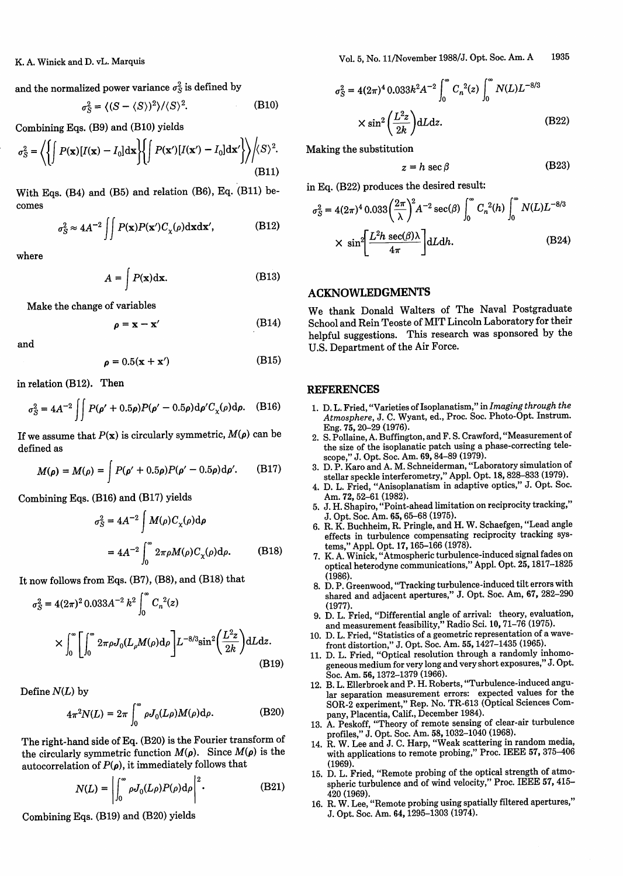K. A. Winick and D. vL. Marquis

and the normalized power variance  $\sigma_S^2$  is defined by

$$
\sigma_S^2 = \langle (S - \langle S \rangle)^2 \rangle / \langle S \rangle^2.
$$
 (B10)

Combining Eqs. (B9) and (B10) yields

$$
\sigma_S^2 = \left\langle \left\{ \int P(\mathbf{x}) [I(\mathbf{x}) - I_0] d\mathbf{x} \right\} \left\{ \int P(\mathbf{x'}) [I(\mathbf{x'}) - I_0] d\mathbf{x'} \right\} \right\rangle / \langle S \rangle^2.
$$
\n(B11)

With Eqs. (B4) and (B5) and relation (B6), Eq. (B11) becomes

 $\rho = \mathbf{x} - \mathbf{x}'$ 

$$
\sigma_S^2 \approx 4A^{-2} \iint P(\mathbf{x}) P(\mathbf{x'}) C_\chi(\rho) d\mathbf{x} d\mathbf{x'},
$$
 (B12)

where

$$
A = \int P(\mathbf{x}) \, \mathrm{d}\mathbf{x}.\tag{B13}
$$

Make the change of variables

and

$$
\rho = 0.5(\mathbf{x} + \mathbf{x}') \tag{B15}
$$

in relation (B12). Then

$$
\sigma_S^2 = 4A^{-2} \iint P(\rho' + 0.5\rho) P(\rho' - 0.5\rho) d\rho' C_\chi(\rho) d\rho.
$$
 (B16)

If we assume that  $P(x)$  is circularly symmetric,  $M(\rho)$  can be defined as

$$
M(\rho) = M(\rho) = \int P(\rho' + 0.5\rho)P(\rho' - 0.5\rho) d\rho'.
$$
 (B17)

Combining Eqs. (B16) and (B17) yields

$$
\sigma_S^2 = 4A^{-2} \int M(\rho) C_\chi(\rho) d\rho
$$
  
=  $4A^{-2} \int_0^\infty 2\pi \rho M(\rho) C_\chi(\rho) d\rho.$  (B18)

It now follows from Eqs. (B7), (B8), and (B18) that

$$
\sigma_S^2 = 4(2\pi)^2 0.033 A^{-2} k^2 \int_0^\infty C_n^2(z)
$$
  
 
$$
\times \int_0^\infty \left[ \int_0^\infty 2\pi \rho J_0(L_\rho M(\rho) d\rho) \right] L^{-8/3} \sin^2 \left( \frac{L^2 z}{2k} \right) dL dz.
$$
 (B19)

Define *N(L)* by

$$
4\pi^2 N(L) = 2\pi \int_0^\infty \rho J_0(L\rho) M(\rho) d\rho.
$$
 (B20)

The right-hand side of Eq. (B20) is the Fourier transform of the circularly symmetric function  $M(\rho)$ . Since  $M(\rho)$  is the autocorrelation of  $P(\rho)$ , it immediately follows that

$$
N(L) = \left| \int_0^\infty \rho J_0(L\rho) P(\rho) d\rho \right|^2.
$$
 (B21)

Combining Eqs. (B19) and (B20) yields

Vol. 5, No. 11/November 1988/J. Opt. Soc. Am. A 1935

$$
\sigma_S^2 = 4(2\pi)^4 \cdot 0.033 k^2 A^{-2} \int_0^\infty C_n^2(z) \int_0^\infty N(L) L^{-8/3}
$$
  
 
$$
\times \sin^2 \left(\frac{L^2 z}{2k}\right) dL dz.
$$
 (B22)

Making the substitution

$$
z = h \sec \beta \tag{B23}
$$

in Eq. (B22) produces the desired result:

$$
\sigma_S^2 = 4(2\pi)^4 0.033 \left(\frac{2\pi}{\lambda}\right)^2 A^{-2} \sec(\beta) \int_0^\infty C_n^2(h) \int_0^\infty N(L) L^{-8/3}
$$

$$
\times \sin^2 \left[\frac{L^2 h \sec(\beta)\lambda}{4\pi}\right] dL dh. \tag{B24}
$$

#### ACKNOWLEDGMENTS

We thank Donald Walters of The Naval Postgraduate (B14) School and Rein Teoste of MIT Lincoln Laboratory for their helpful suggestions. This research was sponsored by the U.S. Department of the Air Force.

#### **REFERENCES**

- 1. D. L. Fried, "Varieties of Isoplanatism," in *Imaging through the Atmosphere,* J. C. Wyant, ed., Proc. Soc. Photo-Opt. Instrum. Eng. 75, 20-29 (1976).
- 2. S. Pollaine, A. Buffington, and F. S. Crawford, "Measurement of the size of the isoplanatic patch using a phase-correcting telescope," J. Opt. Soc. Am. 69, 84-89 (1979).
- 3. D. P. Karo and A. M. Schneiderman, "Laboratory simulation of stellar speckle interferometry," Appl. Opt. 18, 828-833 (1979).
- 4. D. L. Fried, "Anisoplanatism in adaptive optics," J. Opt. Soc. Am. 72, 52-61 (1982).
- 5. J. H. Shapiro, "Point-ahead limitation on reciprocity tracking," J. Opt. Soc. Am. 65, 65-68 (1975).
- 6. R. K. Buchheim, R. Pringle, and H. W. Schaefgen, "Lead angle effects in turbulence compensating reciprocity tracking systems," Appl. Opt. 17, 165-166 (1978).
- 7. K. A. Winick, "Atmospheric turbulence-induced signal fades on optical heterodyne communications," Appl. Opt. 25, 1817-1825 (1986).
- 8. D. P. Greenwood, "Tracking turbulence-induced tilt errors with shared and adjacent apertures," J. Opt. Soc. Am, 67, 282-290 (1977).
- 9. D. L. Fried, "Differential angle of arrival: theory, evaluation, and measurement feasibility," Radio Sci. 10, 71-76 (1975).
- 10. D. L. Fried, "Statistics of a geometric representation of a wavefront distortion," J. Opt. Soc. Am. 55, 1427-1435 (1965).
- 11. D. L. Fried, "Optical resolution through a randomly inhomogeneous medium for very long and very short exposures," J. Opt. Soc. Am. 56, 1372-1379 (1966).
- 12. B. L. Ellerbroek and P. H. Roberts, "Turbulence-induced angular separation measurement errors: expected values for the SOR-2 experiment," Rep. No. TR-613 (Optical Sciences Company, Placentia, Calif., December 1984).
- 13. A. Peskoff, "Theory of remote sensing of clear-air turbulence profiles," J. Opt. Soc. Am. 58, 1032-1040 (1968).
- 14. R. W. Lee and J. C. Harp, "Weak scattering in random media, with applications to remote probing," Proc. IEEE 57, 375-406 (1969).
- 15. D. L. Fried, "Remote probing of the optical strength of atmospheric turbulence and of wind velocity," Proc. IEEE 57, 415-420 (1969).
- 16. R. W. Lee, "Remote probing using spatially filtered apertures," J. Opt. Soc. Am. 64, 1295-1303 (1974).